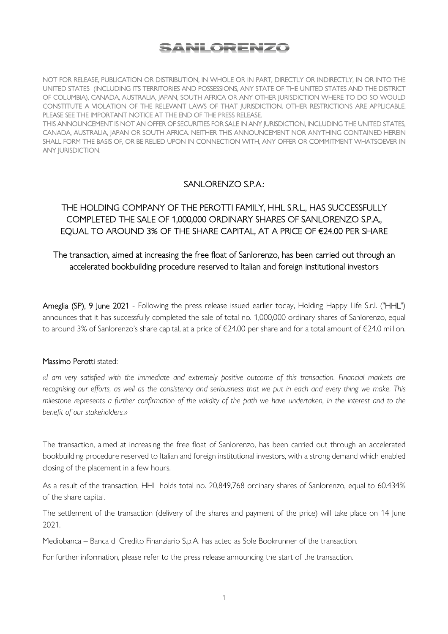# SANLORENZO

NOT FOR RELEASE, PUBLICATION OR DISTRIBUTION, IN WHOLE OR IN PART, DIRECTLY OR INDIRECTLY, IN OR INTO THE UNITED STATES (INCLUDING ITS TERRITORIES AND POSSESSIONS, ANY STATE OF THE UNITED STATES AND THE DISTRICT OF COLUMBIA), CANADA, AUSTRALIA, JAPAN, SOUTH AFRICA OR ANY OTHER JURISDICTION WHERE TO DO SO WOULD CONSTITUTE A VIOLATION OF THE RELEVANT LAWS OF THAT JURISDICTION. OTHER RESTRICTIONS ARE APPLICABLE. PLEASE SEE THE IMPORTANT NOTICE AT THE END OF THE PRESS RELEASE.

THIS ANNOUNCEMENT IS NOT AN OFFER OF SECURITIES FOR SALE IN ANY JURISDICTION, INCLUDING THE UNITED STATES, CANADA, AUSTRALIA, JAPAN OR SOUTH AFRICA. NEITHER THIS ANNOUNCEMENT NOR ANYTHING CONTAINED HEREIN SHALL FORM THE BASIS OF, OR BE RELIED UPON IN CONNECTION WITH, ANY OFFER OR COMMITMENT WHATSOEVER IN ANY JURISDICTION.

## SANLORENZO S.P.A.:

## THE HOLDING COMPANY OF THE PEROTTI FAMILY, HHL S.R.L., HAS SUCCESSFULLY COMPLETED THE SALE OF 1,000,000 ORDINARY SHARES OF SANLORENZO S.P.A., EQUAL TO AROUND 3% OF THE SHARE CAPITAL, AT A PRICE OF €24.00 PER SHARE

## The transaction, aimed at increasing the free float of Sanlorenzo, has been carried out through an accelerated bookbuilding procedure reserved to Italian and foreign institutional investors

Ameglia (SP), 9 June 2021 - Following the press release issued earlier today, Holding Happy Life S.r.l. ("HHL") announces that it has successfully completed the sale of total no. 1,000,000 ordinary shares of Sanlorenzo, equal to around 3% of Sanlorenzo's share capital, at a price of €24.00 per share and for a total amount of €24.0 million.

## Massimo Perotti stated:

*«I am very satisfied with the immediate and extremely positive outcome of this transaction. Financial markets are recognising our efforts, as well as the consistency and seriousness that we put in each and every thing we make. This*  milestone represents a further confirmation of the validity of the path we have undertaken, in the interest and to the *benefit of our stakeholders.»* 

The transaction, aimed at increasing the free float of Sanlorenzo, has been carried out through an accelerated bookbuilding procedure reserved to Italian and foreign institutional investors, with a strong demand which enabled closing of the placement in a few hours.

As a result of the transaction, HHL holds total no. 20,849,768 ordinary shares of Sanlorenzo, equal to 60.434% of the share capital.

The settlement of the transaction (delivery of the shares and payment of the price) will take place on 14 June 2021.

Mediobanca – Banca di Credito Finanziario S.p.A. has acted as Sole Bookrunner of the transaction.

For further information, please refer to the press release announcing the start of the transaction.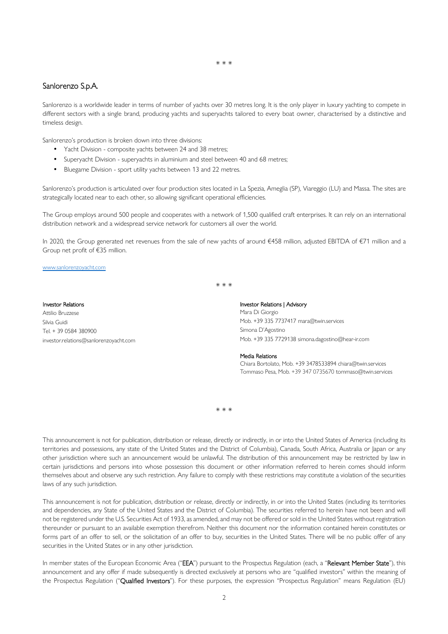### \* \* \*

## Sanlorenzo S.p.A.

Sanlorenzo is a worldwide leader in terms of number of yachts over 30 metres long. It is the only player in luxury yachting to compete in different sectors with a single brand, producing yachts and superyachts tailored to every boat owner, characterised by a distinctive and timeless design.

Sanlorenzo's production is broken down into three divisions:

- Yacht Division composite yachts between 24 and 38 metres;
- Superyacht Division superyachts in aluminium and steel between 40 and 68 metres;
- Bluegame Division sport utility yachts between 13 and 22 metres.

Sanlorenzo's production is articulated over four production sites located in La Spezia, Ameglia (SP), Viareggio (LU) and Massa. The sites are strategically located near to each other, so allowing significant operational efficiencies.

The Group employs around 500 people and cooperates with a network of 1,500 qualified craft enterprises. It can rely on an international distribution network and a widespread service network for customers all over the world.

In 2020, the Group generated net revenues from the sale of new yachts of around €458 million, adjusted EBITDA of €71 million and a Group net profit of €35 million.

\* \* \*

#### www.sanlorenzoyacht.com

### Investor Relations

Attilio Bruzzese Silvia Guidi Tel. + 39 0584 380900 investor.relations@sanlorenzoyacht.com

### Investor Relations | Advisory

Mara Di Giorgio Mob. +39 335 7737417 mara@twin.services Simona D'Agostino Mob. +39 335 7729138 simona.dagostino@hear-ir.com

#### Media Relations

Chiara Bortolato, Mob. +39 3478533894 chiara@twin.services Tommaso Pesa, Mob. +39 347 0735670 tommaso@twin.services

\* \* \*

This announcement is not for publication, distribution or release, directly or indirectly, in or into the United States of America (including its territories and possessions, any state of the United States and the District of Columbia), Canada, South Africa, Australia or Japan or any other jurisdiction where such an announcement would be unlawful. The distribution of this announcement may be restricted by law in certain jurisdictions and persons into whose possession this document or other information referred to herein comes should inform themselves about and observe any such restriction. Any failure to comply with these restrictions may constitute a violation of the securities laws of any such jurisdiction.

This announcement is not for publication, distribution or release, directly or indirectly, in or into the United States (including its territories and dependencies, any State of the United States and the District of Columbia). The securities referred to herein have not been and will not be registered under the U.S. Securities Act of 1933, as amended, and may not be offered or sold in the United States without registration thereunder or pursuant to an available exemption therefrom. Neither this document nor the information contained herein constitutes or forms part of an offer to sell, or the solicitation of an offer to buy, securities in the United States. There will be no public offer of any securities in the United States or in any other jurisdiction.

In member states of the European Economic Area ("EEA") pursuant to the Prospectus Regulation (each, a "Relevant Member State"), this announcement and any offer if made subsequently is directed exclusively at persons who are "qualified investors" within the meaning of the Prospectus Regulation ("Qualified Investors"). For these purposes, the expression "Prospectus Regulation" means Regulation (EU)